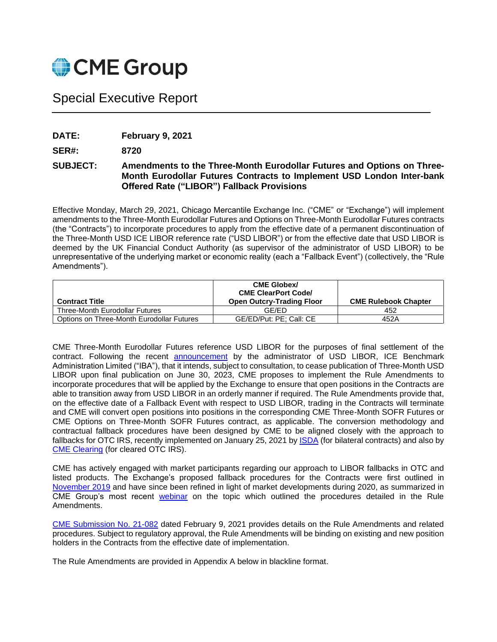

# Special Executive Report

**DATE: February 9, 2021**

**SER#: 8720**

# **SUBJECT: Amendments to the Three-Month Eurodollar Futures and Options on Three-Month Eurodollar Futures Contracts to Implement USD London Inter-bank Offered Rate ("LIBOR") Fallback Provisions**

Effective Monday, March 29, 2021, Chicago Mercantile Exchange Inc. ("CME" or "Exchange") will implement amendments to the Three-Month Eurodollar Futures and Options on Three-Month Eurodollar Futures contracts (the "Contracts") to incorporate procedures to apply from the effective date of a permanent discontinuation of the Three-Month USD ICE LIBOR reference rate ("USD LIBOR") or from the effective date that USD LIBOR is deemed by the UK Financial Conduct Authority (as supervisor of the administrator of USD LIBOR) to be unrepresentative of the underlying market or economic reality (each a "Fallback Event") (collectively, the "Rule Amendments").

| <b>Contract Title</b>                     | <b>CME Globex/</b><br><b>CME ClearPort Code/</b><br><b>Open Outcry-Trading Floor</b> | <b>CME Rulebook Chapter</b> |
|-------------------------------------------|--------------------------------------------------------------------------------------|-----------------------------|
| Three-Month Eurodollar Futures            | GF/FD                                                                                | 452                         |
| Options on Three-Month Eurodollar Futures | GE/ED/Put: PE; Call: CE                                                              | 452A                        |

CME Three-Month Eurodollar Futures reference USD LIBOR for the purposes of final settlement of the contract. Following the recent **[announcement](https://ir.theice.com/press/news-details/2020/ICE-Benchmark-Administration-to-Consult-on-Its-Intention-to-Cease-the-Publication-of-One-Week-and-Two-Month-USD-LIBOR-Settings-at-End-December-2021-and-the-Remaining-USD-LIBOR-Settings-at-End-June-2023/default.aspx)** by the administrator of USD LIBOR, ICE Benchmark Administration Limited ("IBA"), that it intends, subject to consultation, to cease publication of Three-Month USD LIBOR upon final publication on June 30, 2023, CME proposes to implement the Rule Amendments to incorporate procedures that will be applied by the Exchange to ensure that open positions in the Contracts are able to transition away from USD LIBOR in an orderly manner if required. The Rule Amendments provide that, on the effective date of a Fallback Event with respect to USD LIBOR, trading in the Contracts will terminate and CME will convert open positions into positions in the corresponding CME Three-Month SOFR Futures or CME Options on Three-Month SOFR Futures contract, as applicable. The conversion methodology and contractual fallback procedures have been designed by CME to be aligned closely with the approach to fallbacks for OTC IRS, recently implemented on January 25, 2021 by [ISDA](https://www.isda.org/2021/01/25/new-ibor-fallbacks-take-effect-for-derivatives/) (for bilateral contracts) and also by [CME Clearing](https://www.cmegroup.com/content/dam/cmegroup/notices/clearing/2021/01/Chadv21-039.pdf) (for cleared OTC IRS).

CME has actively engaged with market participants regarding our approach to LIBOR fallbacks in OTC and listed products. The Exchange's proposed fallback procedures for the Contracts were first outlined in [November 2019](https://www.cmegroup.com/education/videos/webinar-libor-fallbacks-for-eurodollars.html) and have since been refined in light of market developments during 2020, as summarized in CME Group's most recent [webinar](https://www.cmegroup.com/education/videos/sofr-based-fallbacks-for-eurodollar-futures-and-options.html) on the topic which outlined the procedures detailed in the Rule Amendments.

[CME Submission No. 21-082](https://www.cmegroup.com/market-regulation/rule-filings/2021/2/21-082.pdf) dated February 9, 2021 provides details on the Rule Amendments and related procedures. Subject to regulatory approval, the Rule Amendments will be binding on existing and new position holders in the Contracts from the effective date of implementation.

The Rule Amendments are provided in Appendix A below in blackline format.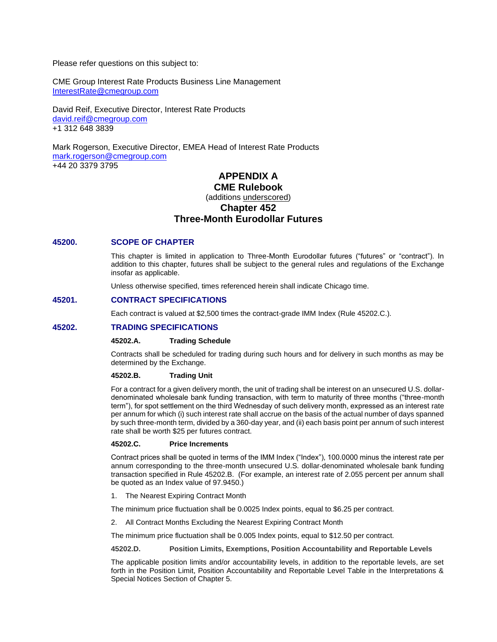Please refer questions on this subject to:

CME Group Interest Rate Products Business Line Management [InterestRate@cmegroup.com](mailto:InterestRate@cmegroup.com)

David Reif, Executive Director, Interest Rate Products [david.reif@cmegroup.com](mailto:david.reif@cmegroup.com) +1 312 648 3839

Mark Rogerson, Executive Director, EMEA Head of Interest Rate Products [mark.rogerson@cmegroup.com](mailto:mark.rogerson@cmegroup.com) +44 20 3379 3795

# **APPENDIX A CME Rulebook**

# (additions underscored)

# **Chapter 452**

# **Three-Month Eurodollar Futures**

# **45200. SCOPE OF CHAPTER**

This chapter is limited in application to Three-Month Eurodollar futures ("futures" or "contract"). In addition to this chapter, futures shall be subject to the general rules and regulations of the Exchange insofar as applicable.

Unless otherwise specified, times referenced herein shall indicate Chicago time.

# **45201. CONTRACT SPECIFICATIONS**

Each contract is valued at \$2,500 times the contract-grade IMM Index (Rule 45202.C.).

# **45202. TRADING SPECIFICATIONS**

#### **45202.A. Trading Schedule**

Contracts shall be scheduled for trading during such hours and for delivery in such months as may be determined by the Exchange.

#### **45202.B. Trading Unit**

For a contract for a given delivery month, the unit of trading shall be interest on an unsecured U.S. dollardenominated wholesale bank funding transaction, with term to maturity of three months ("three-month term"), for spot settlement on the third Wednesday of such delivery month, expressed as an interest rate per annum for which (i) such interest rate shall accrue on the basis of the actual number of days spanned by such three-month term, divided by a 360-day year, and (ii) each basis point per annum of such interest rate shall be worth \$25 per futures contract.

#### **45202.C. Price Increments**

Contract prices shall be quoted in terms of the IMM Index ("Index"), 100.0000 minus the interest rate per annum corresponding to the three-month unsecured U.S. dollar-denominated wholesale bank funding transaction specified in Rule 45202.B. (For example, an interest rate of 2.055 percent per annum shall be quoted as an Index value of 97.9450.)

1. The Nearest Expiring Contract Month

The minimum price fluctuation shall be 0.0025 Index points, equal to \$6.25 per contract.

2. All Contract Months Excluding the Nearest Expiring Contract Month

The minimum price fluctuation shall be 0.005 Index points, equal to \$12.50 per contract.

**45202.D. Position Limits, Exemptions, Position Accountability and Reportable Levels** 

The applicable position limits and/or accountability levels, in addition to the reportable levels, are set forth in the Position Limit, Position Accountability and Reportable Level Table in the Interpretations & Special Notices Section of Chapter 5.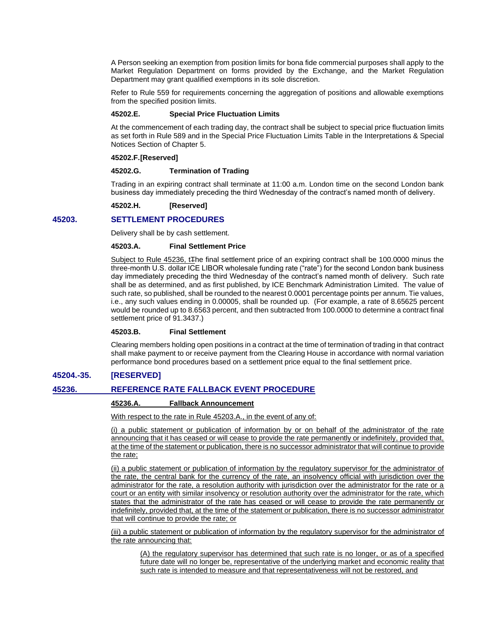A Person seeking an exemption from position limits for bona fide commercial purposes shall apply to the Market Regulation Department on forms provided by the Exchange, and the Market Regulation Department may grant qualified exemptions in its sole discretion.

Refer to Rule 559 for requirements concerning the aggregation of positions and allowable exemptions from the specified position limits.

#### **45202.E. Special Price Fluctuation Limits**

At the commencement of each trading day, the contract shall be subject to special price fluctuation limits as set forth in Rule 589 and in the Special Price Fluctuation Limits Table in the Interpretations & Special Notices Section of Chapter 5.

#### **45202.F.[Reserved]**

#### **45202.G. Termination of Trading**

Trading in an expiring contract shall terminate at 11:00 a.m. London time on the second London bank business day immediately preceding the third Wednesday of the contract's named month of delivery.

#### **45202.H. [Reserved]**

# **45203. SETTLEMENT PROCEDURES**

Delivery shall be by cash settlement.

#### **45203.A. Final Settlement Price**

Subject to Rule 45236, t<sub>The final settlement price of an expiring contract shall be 100.0000 minus the</sub> three-month U.S. dollar ICE LIBOR wholesale funding rate ("rate") for the second London bank business day immediately preceding the third Wednesday of the contract's named month of delivery. Such rate shall be as determined, and as first published, by ICE Benchmark Administration Limited. The value of such rate, so published, shall be rounded to the nearest 0.0001 percentage points per annum. Tie values, i.e., any such values ending in 0.00005, shall be rounded up. (For example, a rate of 8.65625 percent would be rounded up to 8.6563 percent, and then subtracted from 100.0000 to determine a contract final settlement price of 91.3437.)

# **45203.B. Final Settlement**

Clearing members holding open positions in a contract at the time of termination of trading in that contract shall make payment to or receive payment from the Clearing House in accordance with normal variation performance bond procedures based on a settlement price equal to the final settlement price.

# **45204.-35. [RESERVED]**

# **45236. REFERENCE RATE FALLBACK EVENT PROCEDURE**

# **45236.A. Fallback Announcement**

With respect to the rate in Rule 45203.A., in the event of any of:

(i) a public statement or publication of information by or on behalf of the administrator of the rate announcing that it has ceased or will cease to provide the rate permanently or indefinitely, provided that, at the time of the statement or publication, there is no successor administrator that will continue to provide the rate;

(ii) a public statement or publication of information by the regulatory supervisor for the administrator of the rate, the central bank for the currency of the rate, an insolvency official with jurisdiction over the administrator for the rate, a resolution authority with jurisdiction over the administrator for the rate or a court or an entity with similar insolvency or resolution authority over the administrator for the rate, which states that the administrator of the rate has ceased or will cease to provide the rate permanently or indefinitely, provided that, at the time of the statement or publication, there is no successor administrator that will continue to provide the rate; or

(iii) a public statement or publication of information by the regulatory supervisor for the administrator of the rate announcing that:

(A) the regulatory supervisor has determined that such rate is no longer, or as of a specified future date will no longer be, representative of the underlying market and economic reality that such rate is intended to measure and that representativeness will not be restored, and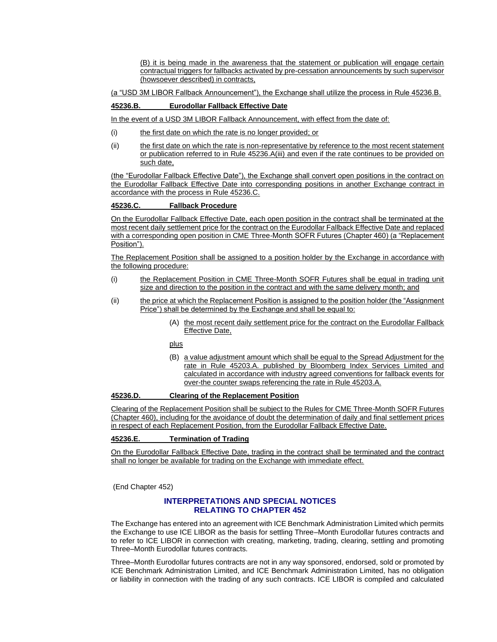(B) it is being made in the awareness that the statement or publication will engage certain contractual triggers for fallbacks activated by pre-cessation announcements by such supervisor (howsoever described) in contracts,

(a "USD 3M LIBOR Fallback Announcement"), the Exchange shall utilize the process in Rule 45236.B.

# **45236.B. Eurodollar Fallback Effective Date**

In the event of a USD 3M LIBOR Fallback Announcement, with effect from the date of:

- (i) the first date on which the rate is no longer provided; or
- (ii) the first date on which the rate is non-representative by reference to the most recent statement or publication referred to in Rule 45236.A(iii) and even if the rate continues to be provided on such date,

(the "Eurodollar Fallback Effective Date"), the Exchange shall convert open positions in the contract on the Eurodollar Fallback Effective Date into corresponding positions in another Exchange contract in accordance with the process in Rule 45236.C.

#### **45236.C. Fallback Procedure**

On the Eurodollar Fallback Effective Date, each open position in the contract shall be terminated at the most recent daily settlement price for the contract on the Eurodollar Fallback Effective Date and replaced with a corresponding open position in CME Three-Month SOFR Futures (Chapter 460) (a "Replacement Position").

The Replacement Position shall be assigned to a position holder by the Exchange in accordance with the following procedure:

- (i) the Replacement Position in CME Three-Month SOFR Futures shall be equal in trading unit size and direction to the position in the contract and with the same delivery month; and
- (ii) the price at which the Replacement Position is assigned to the position holder (the "Assignment Price") shall be determined by the Exchange and shall be equal to:
	- (A) the most recent daily settlement price for the contract on the Eurodollar Fallback Effective Date,

plus

(B) a value adjustment amount which shall be equal to the Spread Adjustment for the rate in Rule 45203.A. published by Bloomberg Index Services Limited and calculated in accordance with industry agreed conventions for fallback events for over-the counter swaps referencing the rate in Rule 45203.A.

#### **45236.D. Clearing of the Replacement Position**

Clearing of the Replacement Position shall be subject to the Rules for CME Three-Month SOFR Futures (Chapter 460), including for the avoidance of doubt the determination of daily and final settlement prices in respect of each Replacement Position, from the Eurodollar Fallback Effective Date.

# **45236.E. Termination of Trading**

On the Eurodollar Fallback Effective Date, trading in the contract shall be terminated and the contract shall no longer be available for trading on the Exchange with immediate effect.

(End Chapter 452)

# **INTERPRETATIONS AND SPECIAL NOTICES RELATING TO CHAPTER 452**

The Exchange has entered into an agreement with ICE Benchmark Administration Limited which permits the Exchange to use ICE LIBOR as the basis for settling Three–Month Eurodollar futures contracts and to refer to ICE LIBOR in connection with creating, marketing, trading, clearing, settling and promoting Three–Month Eurodollar futures contracts.

Three–Month Eurodollar futures contracts are not in any way sponsored, endorsed, sold or promoted by ICE Benchmark Administration Limited, and ICE Benchmark Administration Limited, has no obligation or liability in connection with the trading of any such contracts. ICE LIBOR is compiled and calculated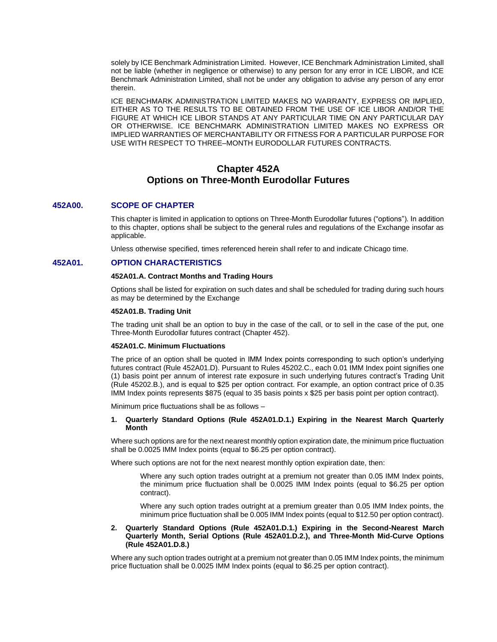solely by ICE Benchmark Administration Limited. However, ICE Benchmark Administration Limited, shall not be liable (whether in negligence or otherwise) to any person for any error in ICE LIBOR, and ICE Benchmark Administration Limited, shall not be under any obligation to advise any person of any error therein.

ICE BENCHMARK ADMINISTRATION LIMITED MAKES NO WARRANTY, EXPRESS OR IMPLIED, EITHER AS TO THE RESULTS TO BE OBTAINED FROM THE USE OF ICE LIBOR AND/OR THE FIGURE AT WHICH ICE LIBOR STANDS AT ANY PARTICULAR TIME ON ANY PARTICULAR DAY OR OTHERWISE. ICE BENCHMARK ADMINISTRATION LIMITED MAKES NO EXPRESS OR IMPLIED WARRANTIES OF MERCHANTABILITY OR FITNESS FOR A PARTICULAR PURPOSE FOR USE WITH RESPECT TO THREE–MONTH EURODOLLAR FUTURES CONTRACTS.

# **Chapter 452A Options on Three-Month Eurodollar Futures**

# **452A00. SCOPE OF CHAPTER**

This chapter is limited in application to options on Three-Month Eurodollar futures ("options"). In addition to this chapter, options shall be subject to the general rules and regulations of the Exchange insofar as applicable.

Unless otherwise specified, times referenced herein shall refer to and indicate Chicago time.

# **452A01. OPTION CHARACTERISTICS**

#### **452A01.A. Contract Months and Trading Hours**

Options shall be listed for expiration on such dates and shall be scheduled for trading during such hours as may be determined by the Exchange

#### **452A01.B. Trading Unit**

The trading unit shall be an option to buy in the case of the call, or to sell in the case of the put, one Three-Month Eurodollar futures contract (Chapter 452).

#### **452A01.C. Minimum Fluctuations**

The price of an option shall be quoted in IMM Index points corresponding to such option's underlying futures contract (Rule 452A01.D). Pursuant to Rules 45202.C., each 0.01 IMM Index point signifies one (1) basis point per annum of interest rate exposure in such underlying futures contract's Trading Unit (Rule 45202.B.), and is equal to \$25 per option contract. For example, an option contract price of 0.35 IMM Index points represents \$875 (equal to 35 basis points x \$25 per basis point per option contract).

Minimum price fluctuations shall be as follows –

### **1. Quarterly Standard Options (Rule 452A01.D.1.) Expiring in the Nearest March Quarterly Month**

Where such options are for the next nearest monthly option expiration date, the minimum price fluctuation shall be 0.0025 IMM Index points (equal to \$6.25 per option contract).

Where such options are not for the next nearest monthly option expiration date, then:

Where any such option trades outright at a premium not greater than 0.05 IMM Index points, the minimum price fluctuation shall be 0.0025 IMM Index points (equal to \$6.25 per option contract).

Where any such option trades outright at a premium greater than 0.05 IMM Index points, the minimum price fluctuation shall be 0.005 IMM Index points (equal to \$12.50 per option contract).

#### **2. Quarterly Standard Options (Rule 452A01.D.1.) Expiring in the Second-Nearest March Quarterly Month, Serial Options (Rule 452A01.D.2.), and Three-Month Mid-Curve Options (Rule 452A01.D.8.)**

Where any such option trades outright at a premium not greater than 0.05 IMM Index points, the minimum price fluctuation shall be 0.0025 IMM Index points (equal to \$6.25 per option contract).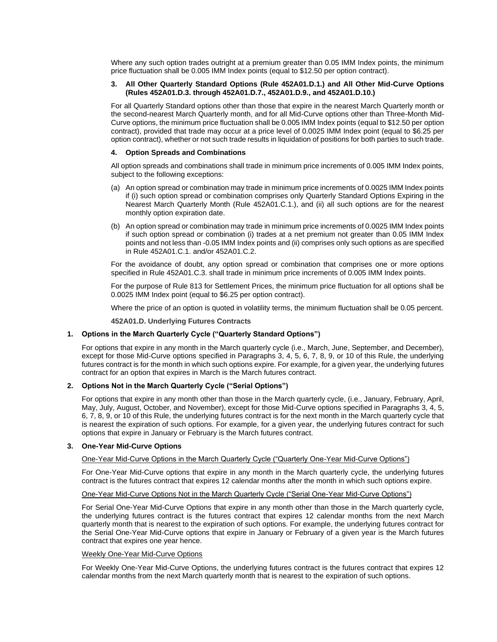Where any such option trades outright at a premium greater than 0.05 IMM Index points, the minimum price fluctuation shall be 0.005 IMM Index points (equal to \$12.50 per option contract).

### **3. All Other Quarterly Standard Options (Rule 452A01.D.1.) and All Other Mid-Curve Options (Rules 452A01.D.3. through 452A01.D.7., 452A01.D.9., and 452A01.D.10.)**

For all Quarterly Standard options other than those that expire in the nearest March Quarterly month or the second-nearest March Quarterly month, and for all Mid-Curve options other than Three-Month Mid-Curve options, the minimum price fluctuation shall be 0.005 IMM Index points (equal to \$12.50 per option contract), provided that trade may occur at a price level of 0.0025 IMM Index point (equal to \$6.25 per option contract), whether or not such trade results in liquidation of positions for both parties to such trade.

#### **4. Option Spreads and Combinations**

All option spreads and combinations shall trade in minimum price increments of 0.005 IMM Index points, subject to the following exceptions:

- (a) An option spread or combination may trade in minimum price increments of 0.0025 IMM Index points if (i) such option spread or combination comprises only Quarterly Standard Options Expiring in the Nearest March Quarterly Month (Rule 452A01.C.1.), and (ii) all such options are for the nearest monthly option expiration date.
- (b) An option spread or combination may trade in minimum price increments of 0.0025 IMM Index points if such option spread or combination (i) trades at a net premium not greater than 0.05 IMM Index points and not less than -0.05 IMM Index points and (ii) comprises only such options as are specified in Rule 452A01.C.1. and/or 452A01.C.2.

For the avoidance of doubt, any option spread or combination that comprises one or more options specified in Rule 452A01.C.3. shall trade in minimum price increments of 0.005 IMM Index points.

For the purpose of Rule 813 for Settlement Prices, the minimum price fluctuation for all options shall be 0.0025 IMM Index point (equal to \$6.25 per option contract).

Where the price of an option is quoted in volatility terms, the minimum fluctuation shall be 0.05 percent.

**452A01.D. Underlying Futures Contracts**

#### **1. Options in the March Quarterly Cycle ("Quarterly Standard Options")**

For options that expire in any month in the March quarterly cycle (i.e., March, June, September, and December), except for those Mid-Curve options specified in Paragraphs 3, 4, 5, 6, 7, 8, 9, or 10 of this Rule, the underlying futures contract is for the month in which such options expire. For example, for a given year, the underlying futures contract for an option that expires in March is the March futures contract.

#### **2. Options Not in the March Quarterly Cycle ("Serial Options")**

For options that expire in any month other than those in the March quarterly cycle, (i.e., January, February, April, May, July, August, October, and November), except for those Mid-Curve options specified in Paragraphs 3, 4, 5, 6, 7, 8, 9, or 10 of this Rule, the underlying futures contract is for the next month in the March quarterly cycle that is nearest the expiration of such options. For example, for a given year, the underlying futures contract for such options that expire in January or February is the March futures contract.

#### **3. One-Year Mid-Curve Options**

#### One-Year Mid-Curve Options in the March Quarterly Cycle ("Quarterly One-Year Mid-Curve Options")

For One-Year Mid-Curve options that expire in any month in the March quarterly cycle, the underlying futures contract is the futures contract that expires 12 calendar months after the month in which such options expire.

#### One-Year Mid-Curve Options Not in the March Quarterly Cycle ("Serial One-Year Mid-Curve Options")

For Serial One-Year Mid-Curve Options that expire in any month other than those in the March quarterly cycle, the underlying futures contract is the futures contract that expires 12 calendar months from the next March quarterly month that is nearest to the expiration of such options. For example, the underlying futures contract for the Serial One-Year Mid-Curve options that expire in January or February of a given year is the March futures contract that expires one year hence.

#### Weekly One-Year Mid-Curve Options

For Weekly One-Year Mid-Curve Options, the underlying futures contract is the futures contract that expires 12 calendar months from the next March quarterly month that is nearest to the expiration of such options.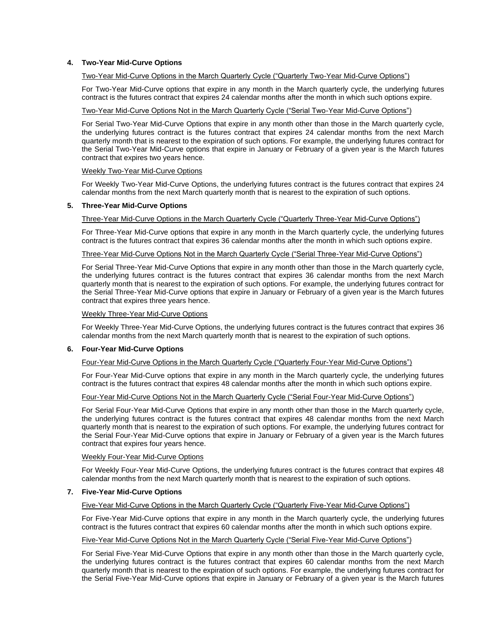# **4. Two-Year Mid-Curve Options**

# Two-Year Mid-Curve Options in the March Quarterly Cycle ("Quarterly Two-Year Mid-Curve Options")

For Two-Year Mid-Curve options that expire in any month in the March quarterly cycle, the underlying futures contract is the futures contract that expires 24 calendar months after the month in which such options expire.

#### Two-Year Mid-Curve Options Not in the March Quarterly Cycle ("Serial Two-Year Mid-Curve Options")

For Serial Two-Year Mid-Curve Options that expire in any month other than those in the March quarterly cycle, the underlying futures contract is the futures contract that expires 24 calendar months from the next March quarterly month that is nearest to the expiration of such options. For example, the underlying futures contract for the Serial Two-Year Mid-Curve options that expire in January or February of a given year is the March futures contract that expires two years hence.

#### Weekly Two-Year Mid-Curve Options

For Weekly Two-Year Mid-Curve Options, the underlying futures contract is the futures contract that expires 24 calendar months from the next March quarterly month that is nearest to the expiration of such options.

#### **5. Three-Year Mid-Curve Options**

#### Three-Year Mid-Curve Options in the March Quarterly Cycle ("Quarterly Three-Year Mid-Curve Options")

For Three-Year Mid-Curve options that expire in any month in the March quarterly cycle, the underlying futures contract is the futures contract that expires 36 calendar months after the month in which such options expire.

# Three-Year Mid-Curve Options Not in the March Quarterly Cycle ("Serial Three-Year Mid-Curve Options")

For Serial Three-Year Mid-Curve Options that expire in any month other than those in the March quarterly cycle, the underlying futures contract is the futures contract that expires 36 calendar months from the next March quarterly month that is nearest to the expiration of such options. For example, the underlying futures contract for the Serial Three-Year Mid-Curve options that expire in January or February of a given year is the March futures contract that expires three years hence.

#### Weekly Three-Year Mid-Curve Options

For Weekly Three-Year Mid-Curve Options, the underlying futures contract is the futures contract that expires 36 calendar months from the next March quarterly month that is nearest to the expiration of such options.

#### **6. Four-Year Mid-Curve Options**

### Four-Year Mid-Curve Options in the March Quarterly Cycle ("Quarterly Four-Year Mid-Curve Options")

For Four-Year Mid-Curve options that expire in any month in the March quarterly cycle, the underlying futures contract is the futures contract that expires 48 calendar months after the month in which such options expire.

# Four-Year Mid-Curve Options Not in the March Quarterly Cycle ("Serial Four-Year Mid-Curve Options")

For Serial Four-Year Mid-Curve Options that expire in any month other than those in the March quarterly cycle, the underlying futures contract is the futures contract that expires 48 calendar months from the next March quarterly month that is nearest to the expiration of such options. For example, the underlying futures contract for the Serial Four-Year Mid-Curve options that expire in January or February of a given year is the March futures contract that expires four years hence.

#### Weekly Four-Year Mid-Curve Options

For Weekly Four-Year Mid-Curve Options, the underlying futures contract is the futures contract that expires 48 calendar months from the next March quarterly month that is nearest to the expiration of such options.

#### **7. Five-Year Mid-Curve Options**

# Five-Year Mid-Curve Options in the March Quarterly Cycle ("Quarterly Five-Year Mid-Curve Options")

For Five-Year Mid-Curve options that expire in any month in the March quarterly cycle, the underlying futures contract is the futures contract that expires 60 calendar months after the month in which such options expire.

### Five-Year Mid-Curve Options Not in the March Quarterly Cycle ("Serial Five-Year Mid-Curve Options")

For Serial Five-Year Mid-Curve Options that expire in any month other than those in the March quarterly cycle, the underlying futures contract is the futures contract that expires 60 calendar months from the next March quarterly month that is nearest to the expiration of such options. For example, the underlying futures contract for the Serial Five-Year Mid-Curve options that expire in January or February of a given year is the March futures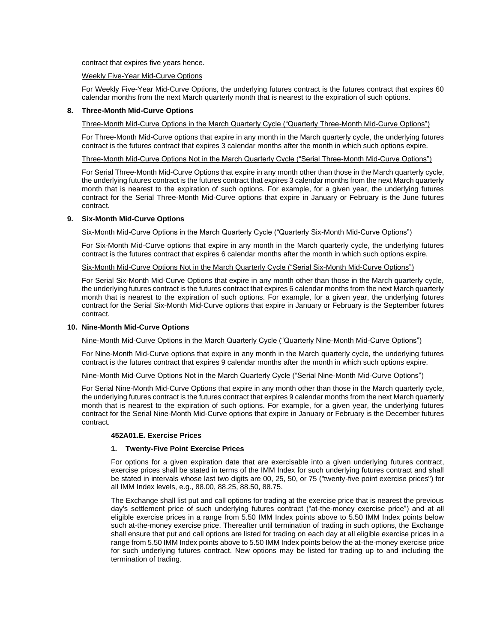contract that expires five years hence.

# Weekly Five-Year Mid-Curve Options

For Weekly Five-Year Mid-Curve Options, the underlying futures contract is the futures contract that expires 60 calendar months from the next March quarterly month that is nearest to the expiration of such options.

#### **8. Three-Month Mid-Curve Options**

Three-Month Mid-Curve Options in the March Quarterly Cycle ("Quarterly Three-Month Mid-Curve Options")

For Three-Month Mid-Curve options that expire in any month in the March quarterly cycle, the underlying futures contract is the futures contract that expires 3 calendar months after the month in which such options expire.

#### Three-Month Mid-Curve Options Not in the March Quarterly Cycle ("Serial Three-Month Mid-Curve Options")

For Serial Three-Month Mid-Curve Options that expire in any month other than those in the March quarterly cycle, the underlying futures contract is the futures contract that expires 3 calendar months from the next March quarterly month that is nearest to the expiration of such options. For example, for a given year, the underlying futures contract for the Serial Three-Month Mid-Curve options that expire in January or February is the June futures contract.

# **9. Six-Month Mid-Curve Options**

Six-Month Mid-Curve Options in the March Quarterly Cycle ("Quarterly Six-Month Mid-Curve Options")

For Six-Month Mid-Curve options that expire in any month in the March quarterly cycle, the underlying futures contract is the futures contract that expires 6 calendar months after the month in which such options expire.

# Six-Month Mid-Curve Options Not in the March Quarterly Cycle ("Serial Six-Month Mid-Curve Options")

For Serial Six-Month Mid-Curve Options that expire in any month other than those in the March quarterly cycle, the underlying futures contract is the futures contract that expires 6 calendar months from the next March quarterly month that is nearest to the expiration of such options. For example, for a given year, the underlying futures contract for the Serial Six-Month Mid-Curve options that expire in January or February is the September futures contract.

#### **10. Nine-Month Mid-Curve Options**

Nine-Month Mid-Curve Options in the March Quarterly Cycle ("Quarterly Nine-Month Mid-Curve Options")

For Nine-Month Mid-Curve options that expire in any month in the March quarterly cycle, the underlying futures contract is the futures contract that expires 9 calendar months after the month in which such options expire.

#### Nine-Month Mid-Curve Options Not in the March Quarterly Cycle ("Serial Nine-Month Mid-Curve Options")

For Serial Nine-Month Mid-Curve Options that expire in any month other than those in the March quarterly cycle, the underlying futures contract is the futures contract that expires 9 calendar months from the next March quarterly month that is nearest to the expiration of such options. For example, for a given year, the underlying futures contract for the Serial Nine-Month Mid-Curve options that expire in January or February is the December futures contract.

#### **452A01.E. Exercise Prices**

# **1. Twenty-Five Point Exercise Prices**

For options for a given expiration date that are exercisable into a given underlying futures contract, exercise prices shall be stated in terms of the IMM Index for such underlying futures contract and shall be stated in intervals whose last two digits are 00, 25, 50, or 75 ("twenty-five point exercise prices") for all IMM Index levels, e.g., 88.00, 88.25, 88.50, 88.75.

The Exchange shall list put and call options for trading at the exercise price that is nearest the previous day's settlement price of such underlying futures contract ("at-the-money exercise price") and at all eligible exercise prices in a range from 5.50 IMM Index points above to 5.50 IMM Index points below such at-the-money exercise price. Thereafter until termination of trading in such options, the Exchange shall ensure that put and call options are listed for trading on each day at all eligible exercise prices in a range from 5.50 IMM Index points above to 5.50 IMM Index points below the at-the-money exercise price for such underlying futures contract. New options may be listed for trading up to and including the termination of trading.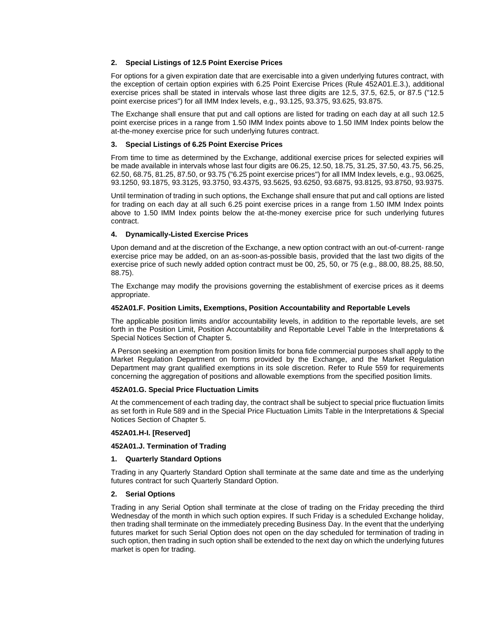# **2. Special Listings of 12.5 Point Exercise Prices**

For options for a given expiration date that are exercisable into a given underlying futures contract, with the exception of certain option expiries with 6.25 Point Exercise Prices (Rule 452A01.E.3.), additional exercise prices shall be stated in intervals whose last three digits are 12.5, 37.5, 62.5, or 87.5 ("12.5 point exercise prices") for all IMM Index levels, e.g., 93.125, 93.375, 93.625, 93.875.

The Exchange shall ensure that put and call options are listed for trading on each day at all such 12.5 point exercise prices in a range from 1.50 IMM Index points above to 1.50 IMM Index points below the at-the-money exercise price for such underlying futures contract.

#### **3. Special Listings of 6.25 Point Exercise Prices**

From time to time as determined by the Exchange, additional exercise prices for selected expiries will be made available in intervals whose last four digits are 06.25, 12.50, 18.75, 31.25, 37.50, 43.75, 56.25, 62.50, 68.75, 81.25, 87.50, or 93.75 ("6.25 point exercise prices") for all IMM Index levels, e.g., 93.0625, 93.1250, 93.1875, 93.3125, 93.3750, 93.4375, 93.5625, 93.6250, 93.6875, 93.8125, 93.8750, 93.9375.

Until termination of trading in such options, the Exchange shall ensure that put and call options are listed for trading on each day at all such 6.25 point exercise prices in a range from 1.50 IMM Index points above to 1.50 IMM Index points below the at-the-money exercise price for such underlying futures contract.

#### **4. Dynamically-Listed Exercise Prices**

Upon demand and at the discretion of the Exchange, a new option contract with an out-of-current- range exercise price may be added, on an as-soon-as-possible basis, provided that the last two digits of the exercise price of such newly added option contract must be 00, 25, 50, or 75 (e.g., 88.00, 88.25, 88.50, 88.75).

The Exchange may modify the provisions governing the establishment of exercise prices as it deems appropriate.

#### **452A01.F. Position Limits, Exemptions, Position Accountability and Reportable Levels**

The applicable position limits and/or accountability levels, in addition to the reportable levels, are set forth in the Position Limit, Position Accountability and Reportable Level Table in the Interpretations & Special Notices Section of Chapter 5.

A Person seeking an exemption from position limits for bona fide commercial purposes shall apply to the Market Regulation Department on forms provided by the Exchange, and the Market Regulation Department may grant qualified exemptions in its sole discretion. Refer to Rule 559 for requirements concerning the aggregation of positions and allowable exemptions from the specified position limits.

#### **452A01.G. Special Price Fluctuation Limits**

At the commencement of each trading day, the contract shall be subject to special price fluctuation limits as set forth in Rule 589 and in the Special Price Fluctuation Limits Table in the Interpretations & Special Notices Section of Chapter 5.

#### **452A01.H-I. [Reserved]**

#### **452A01.J. Termination of Trading**

#### **1. Quarterly Standard Options**

Trading in any Quarterly Standard Option shall terminate at the same date and time as the underlying futures contract for such Quarterly Standard Option.

#### **2. Serial Options**

Trading in any Serial Option shall terminate at the close of trading on the Friday preceding the third Wednesday of the month in which such option expires. If such Friday is a scheduled Exchange holiday, then trading shall terminate on the immediately preceding Business Day. In the event that the underlying futures market for such Serial Option does not open on the day scheduled for termination of trading in such option, then trading in such option shall be extended to the next day on which the underlying futures market is open for trading.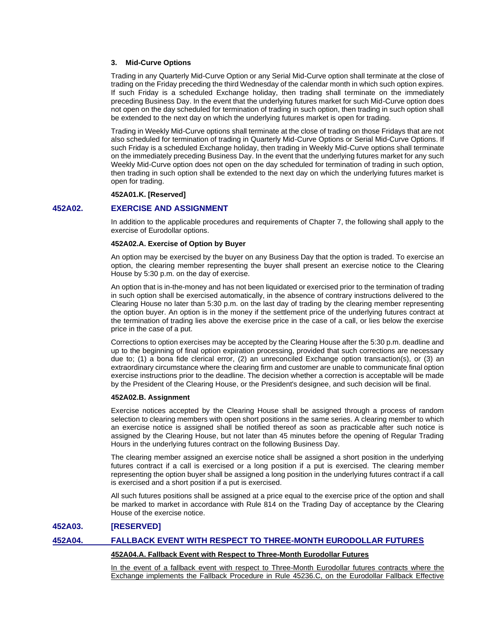#### **3. Mid-Curve Options**

Trading in any Quarterly Mid-Curve Option or any Serial Mid-Curve option shall terminate at the close of trading on the Friday preceding the third Wednesday of the calendar month in which such option expires. If such Friday is a scheduled Exchange holiday, then trading shall terminate on the immediately preceding Business Day. In the event that the underlying futures market for such Mid-Curve option does not open on the day scheduled for termination of trading in such option, then trading in such option shall be extended to the next day on which the underlying futures market is open for trading.

Trading in Weekly Mid-Curve options shall terminate at the close of trading on those Fridays that are not also scheduled for termination of trading in Quarterly Mid-Curve Options or Serial Mid-Curve Options. If such Friday is a scheduled Exchange holiday, then trading in Weekly Mid-Curve options shall terminate on the immediately preceding Business Day. In the event that the underlying futures market for any such Weekly Mid-Curve option does not open on the day scheduled for termination of trading in such option, then trading in such option shall be extended to the next day on which the underlying futures market is open for trading.

#### **452A01.K. [Reserved]**

# **452A02. EXERCISE AND ASSIGNMENT**

In addition to the applicable procedures and requirements of Chapter 7, the following shall apply to the exercise of Eurodollar options.

#### **452A02.A. Exercise of Option by Buyer**

An option may be exercised by the buyer on any Business Day that the option is traded. To exercise an option, the clearing member representing the buyer shall present an exercise notice to the Clearing House by 5:30 p.m. on the day of exercise.

An option that is in-the-money and has not been liquidated or exercised prior to the termination of trading in such option shall be exercised automatically, in the absence of contrary instructions delivered to the Clearing House no later than 5:30 p.m. on the last day of trading by the clearing member representing the option buyer. An option is in the money if the settlement price of the underlying futures contract at the termination of trading lies above the exercise price in the case of a call, or lies below the exercise price in the case of a put.

Corrections to option exercises may be accepted by the Clearing House after the 5:30 p.m. deadline and up to the beginning of final option expiration processing, provided that such corrections are necessary due to; (1) a bona fide clerical error, (2) an unreconciled Exchange option transaction(s), or (3) an extraordinary circumstance where the clearing firm and customer are unable to communicate final option exercise instructions prior to the deadline. The decision whether a correction is acceptable will be made by the President of the Clearing House, or the President's designee, and such decision will be final.

#### **452A02.B. Assignment**

Exercise notices accepted by the Clearing House shall be assigned through a process of random selection to clearing members with open short positions in the same series. A clearing member to which an exercise notice is assigned shall be notified thereof as soon as practicable after such notice is assigned by the Clearing House, but not later than 45 minutes before the opening of Regular Trading Hours in the underlying futures contract on the following Business Day.

The clearing member assigned an exercise notice shall be assigned a short position in the underlying futures contract if a call is exercised or a long position if a put is exercised. The clearing member representing the option buyer shall be assigned a long position in the underlying futures contract if a call is exercised and a short position if a put is exercised.

All such futures positions shall be assigned at a price equal to the exercise price of the option and shall be marked to market in accordance with Rule 814 on the Trading Day of acceptance by the Clearing House of the exercise notice.

# **452A03. [RESERVED]**

# **452A04. FALLBACK EVENT WITH RESPECT TO THREE-MONTH EURODOLLAR FUTURES**

#### **452A04.A. Fallback Event with Respect to Three-Month Eurodollar Futures**

In the event of a fallback event with respect to Three-Month Eurodollar futures contracts where the Exchange implements the Fallback Procedure in Rule 45236.C, on the Eurodollar Fallback Effective